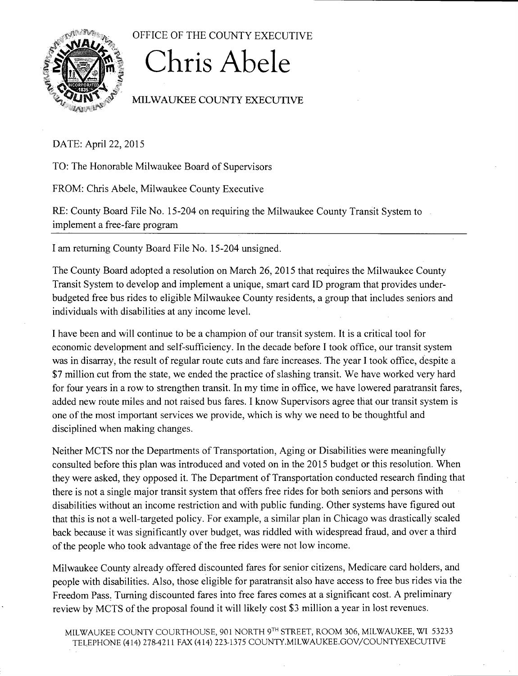

OFFICE OF THE COUNTY EXECUTIVE

## **Chris Abele**

## MILWAUKEE COUNTY EXECUTIVE

DATE: April 22, 2015

TO: The Honorable Milwaukee Board of Supervisors

FROM: Chris Abele, Milwaukee County Executive

RE: County Board File No. 15-204 on requiring the Milwaukee County Transit System to implement a free-fare program

I am returning County Board File No. 15-204 unsigned.

The County Board adopted a resolution on March 26, 2015 that requires the Milwaukee County Transit System to develop and implement a unique, smart card ID program that provides underbudgeted free bus rides to eligible Milwaukee County residents, a group that includes seniors and individuals with disabilities at any income level.

I have been and will continue to be a champion of our transit system. It is a critical tool for economic development and self-sufficiency. In the decade before I took office, our transit system was in disarray, the result of regular route cuts and fare increases. The year I took office, despite a \$7 million cut from the state, we ended the practice of slashing transit. We have worked very hard for four years in a row to strengthen transit. In my time in office, we have lowered paratransit fares, added new route miles and not raised bus fares. I know Supervisors agree that our transit system is one of the most important services we provide, which is why we need to be thoughtful and disciplined when making changes.

Neither MCTS nor the Departments of Transportation, Aging or Disabilities were meaningfully consulted before this plan was introduced and voted on in the 2015 budget or this resolution. When they were asked, they opposed it. The Department of Transportation conducted research finding that there is not a single major transit system that offers free rides for both seniors and persons with disabilities without an income restriction and with public funding. Other systems have figured out that this is not a well-targeted policy. For example, a similar plan in Chicago was drastically scaled back because it was significantly over budget, was riddled with widespread fraud, and over a third of the people who took advantage of the free rides were not low income.

Milwaukee County already offered discounted fares for senior citizens, Medicare card holders, and people with disabilities. Also, those eligible for paratransit also have access to free bus rides via the Freedom Pass: Turning discounted fares into free fares comes at a significant cost. A preliminary review by MCTS of the proposal found it will likely cost \$3 million a year in lost revenues.